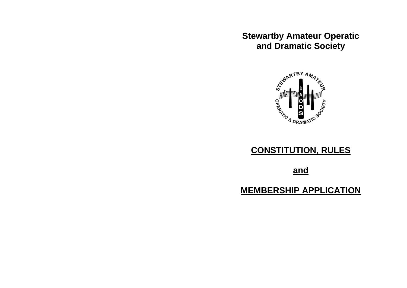**Stewartby Amateur Operatic and Dramatic Society**



**CONSTITUTION, RULES**

**and**

**MEMBERSHIP APPLICATION**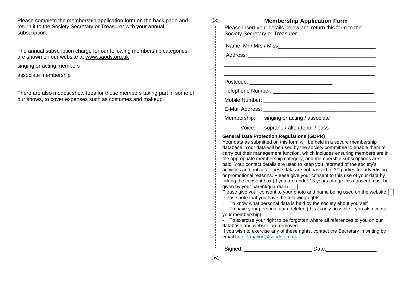Please complete the membership application form on the back page and return it to the Society Secretary or Treasurer with your annual subscription.

The annual subscription charge for our following membership categories are shown on our website at [www.saods.org.uk](http://www.saods.org.uk/) 

singing or acting members

associate membership

There are also modest show fees for those members taking part in some of our shows, to cover expenses such as costumes and makeup.

## **Membership Application Form** Please insert your details below and return this form to the

| Society Secretary or Treasurer |                                                                                                                                                                                                                      |
|--------------------------------|----------------------------------------------------------------------------------------------------------------------------------------------------------------------------------------------------------------------|
|                                |                                                                                                                                                                                                                      |
|                                |                                                                                                                                                                                                                      |
|                                |                                                                                                                                                                                                                      |
|                                |                                                                                                                                                                                                                      |
|                                |                                                                                                                                                                                                                      |
|                                |                                                                                                                                                                                                                      |
|                                |                                                                                                                                                                                                                      |
|                                |                                                                                                                                                                                                                      |
|                                | Membership: singing or acting / associate                                                                                                                                                                            |
|                                | Voice: soprano / alto / tenor / bass                                                                                                                                                                                 |
|                                | <b>General Data Protection Regulations (GDPR)</b><br>Your data as submitted on this form will be held in a secure membership<br>state and a little with the second little and the second state and state and a those |

database. Your data will be used by the society committee to enable them to carry out their management function, which includes ensuring members are in the appropriate membership category, and membership subscriptions are paid. Your contact details are used to keep you informed of the society's activities and notices. These data are not passed to 3rd parties for advertising or promotional reasons. Please give your consent to this use of your data by ticking the consent box (If you are under 13 years of age this consent must be given by your parent/guardian)

Please give your consent to your photo and name being used on the website  $\Box$ Please note that you have the following rights –

- To know what personal data is held by the society about yourself

- To have your personal data deleted (this is only possible if you also cease your membership)

- To exercise your right to be forgotten where all references to you on our database and website are removed

If you wish to exercise any of these rights, contact the Secretary in writing by email to [information@saods.org.uk](mailto:information@saods.org.uk)

Signed: \_\_\_\_\_\_\_\_\_\_\_\_\_\_\_\_\_\_\_\_\_\_\_ Date:\_\_\_\_\_\_\_\_\_\_\_\_\_\_\_\_\_

 $\times$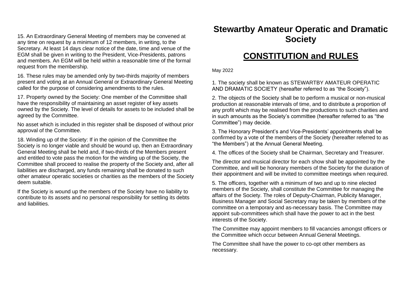15. An Extraordinary General Meeting of members may be convened at any time on request by a minimum of 12 members, in writing, to the Secretary. At least 14 days clear notice of the date, time and venue of the EGM shall be given in writing to the President, Vice-Presidents, patrons and members. An EGM will be held within a reasonable time of the formal request from the membership.

16. These rules may be amended only by two-thirds majority of members present and voting at an Annual General or Extraordinary General Meeting called for the purpose of considering amendments to the rules.

17. Property owned by the Society: One member of the Committee shall have the responsibility of maintaining an asset register of key assets owned by the Society. The level of details for assets to be included shall be agreed by the Committee.

No asset which is included in this register shall be disposed of without prior approval of the Committee.

18. Winding up of the Society: If in the opinion of the Committee the Society is no longer viable and should be wound up, then an Extraordinary General Meeting shall be held and, if two-thirds of the Members present and entitled to vote pass the motion for the winding up of the Society, the Committee shall proceed to realise the property of the Society and, after all liabilities are discharged, any funds remaining shall be donated to such other amateur operatic societies or charities as the members of the Society deem suitable.

If the Society is wound up the members of the Society have no liability to contribute to its assets and no personal responsibility for settling its debts and liabilities.

## **Stewartby Amateur Operatic and Dramatic Society**

## **CONSTITUTION and RULES**

May 2022

1. The society shall be known as STEWARTBY AMATEUR OPERATIC AND DRAMATIC SOCIETY (hereafter referred to as "the Society").

2. The objects of the Society shall be to perform a musical or non-musical production at reasonable intervals of time, and to distribute a proportion of any profit which may be realised from the productions to such charities and in such amounts as the Society's committee (hereafter referred to as "the Committee") may decide.

3. The Honorary President's and Vice-Presidents' appointments shall be confirmed by a vote of the members of the Society (hereafter referred to as "the Members") at the Annual General Meeting.

4. The offices of the Society shall be Chairman, Secretary and Treasurer.

The director and musical director for each show shall be appointed by the Committee, and will be honorary members of the Society for the duration of their appointment and will be invited to committee meetings when required.

5. The officers, together with a minimum of two and up to nine elected members of the Society, shall constitute the Committee for managing the affairs of the Society. The roles of Deputy-Chairman, Publicity Manager, Business Manager and Social Secretary may be taken by members of the committee on a temporary and as-necessary basis. The Committee may appoint sub-committees which shall have the power to act in the best interests of the Society.

The Committee may appoint members to fill vacancies amongst officers or the Committee which occur between Annual General Meetings.

The Committee shall have the power to co-opt other members as necessary.